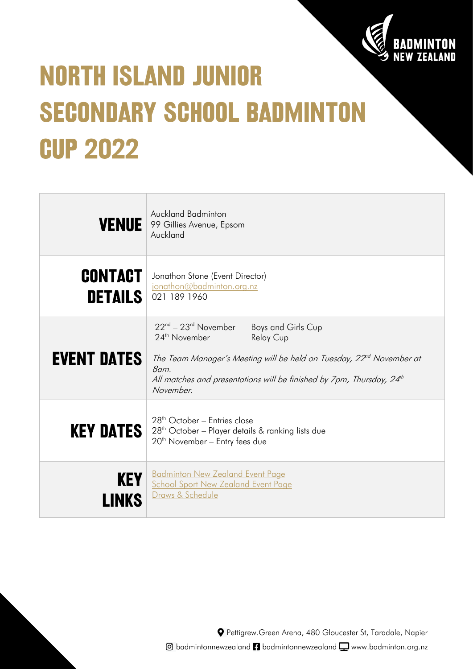

# **NORTH ISLAND JUNIOR SECONDARY SCHOOL BADMINTON CUP 2022**

|                                  | <b>Auckland Badminton</b><br>VENUE 99 Gillies Avenue, Epsom<br>Auckland                                                                                                                                                                                                                               |
|----------------------------------|-------------------------------------------------------------------------------------------------------------------------------------------------------------------------------------------------------------------------------------------------------------------------------------------------------|
| <b>CONTACT</b><br><b>DETAILS</b> | Jonathon Stone (Event Director)<br>jonathon@badminton.org.nz<br>021 189 1960                                                                                                                                                                                                                          |
| <b>EVENT DATES</b>               | $22^{\text{nd}} - 23^{\text{rd}}$ November<br>Boys and Girls Cup<br>24 <sup>th</sup> November<br><b>Relay Cup</b><br>The Team Manager's Meeting will be held on Tuesday, $22nd$ November at<br>8am.<br>All matches and presentations will be finished by 7pm, Thursday, 24 <sup>th</sup><br>November. |
| <b>KEY DATES</b>                 | 28 <sup>th</sup> October - Entries close<br>28 <sup>th</sup> October - Player details & ranking lists due<br>$20th$ November – Entry fees due                                                                                                                                                         |
| <b>KEY</b>                       | <b>Badminton New Zealand Event Page</b><br><b>School Sport New Zealand Event Page</b><br>Draws & Schedule                                                                                                                                                                                             |

Pettigrew.Green Arena, 480 Gloucester St, Taradale, Napier  $\textcircled{a}$  badmintonnewzealand  $\textcircled{a}$  badmintonnewzealand  $\textcircled{a}$  www.badminton.org.nz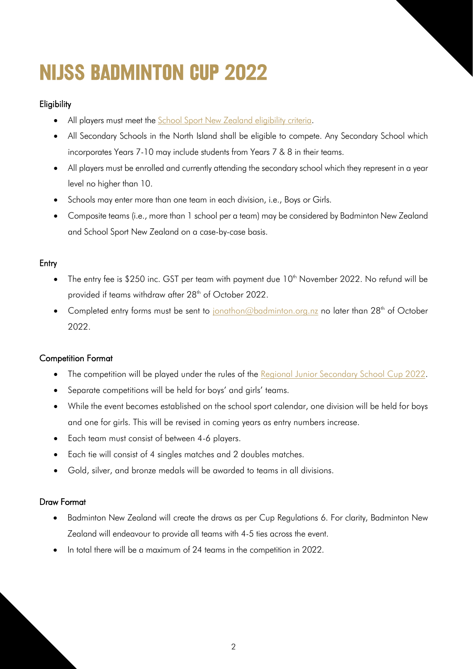# **NIJSS BADMINTON CUP 2022**

# **Eligibility**

- All players must meet the [School Sport New Zealand eligibility criteria.](http://www.nzsssc.org.nz/Sport-1/Events/Eligibility-Regulations)
- All Secondary Schools in the North Island shall be eligible to compete. Any Secondary School which incorporates Years 7-10 may include students from Years 7 & 8 in their teams.
- All players must be enrolled and currently attending the secondary school which they represent in a year level no higher than 10.
- Schools may enter more than one team in each division, i.e., Boys or Girls.
- Composite teams (i.e., more than 1 school per a team) may be considered by Badminton New Zealand and School Sport New Zealand on a case-by-case basis.

### **Entry**

- The entry fee is \$250 inc. GST per team with payment due  $10<sup>th</sup>$  November 2022. No refund will be provided if teams withdraw after 28<sup>th</sup> of October 2022.
- Completed entry forms must be sent to [jonathon@badminton.org.nz](mailto:jonathon@badminton.org.nz) no later than 28<sup>th</sup> of October 2022.

#### Competition Format

- The competition will be played under the rules of the [Regional Junior Secondary School](https://badminton.org.nz/wp-content/uploads/2022/04/Regional-Junior-Secondary-School-2022-Regulations.pdf) Cup 2022.
- Separate competitions will be held for boys' and girls' teams.
- While the event becomes established on the school sport calendar, one division will be held for boys and one for girls. This will be revised in coming years as entry numbers increase.
- Each team must consist of between 4-6 players.
- Each tie will consist of 4 singles matches and 2 doubles matches.
- Gold, silver, and bronze medals will be awarded to teams in all divisions.

# Draw Format

- Badminton New Zealand will create the draws as per Cup Regulations 6. For clarity, Badminton New Zealand will endeavour to provide all teams with 4-5 ties across the event.
- In total there will be a maximum of 24 teams in the competition in 2022.